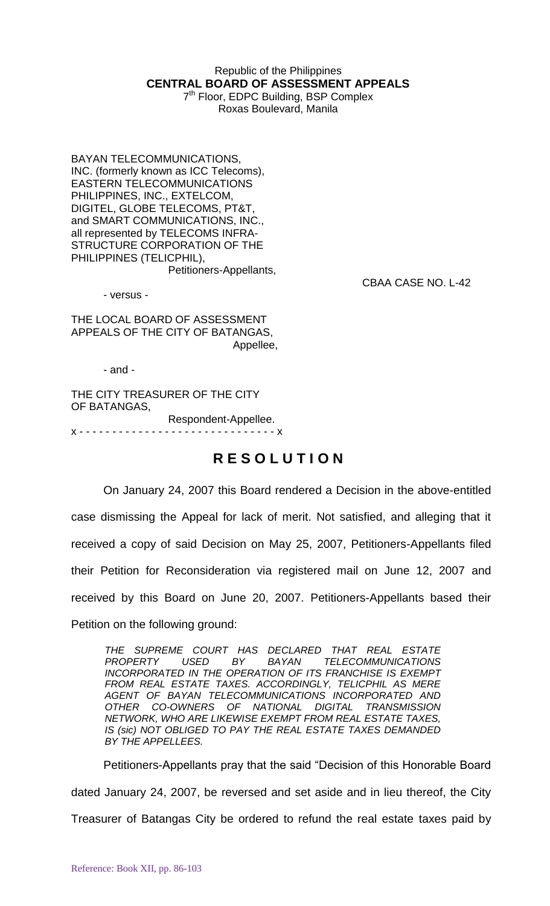## Republic of the Philippines **CENTRAL BOARD OF ASSESSMENT APPEALS**

7<sup>th</sup> Floor, EDPC Building, BSP Complex Roxas Boulevard, Manila

BAYAN TELECOMMUNICATIONS, INC. (formerly known as ICC Telecoms), EASTERN TELECOMMUNICATIONS PHILIPPINES, INC., EXTELCOM, DIGITEL, GLOBE TELECOMS, PT&T, and SMART COMMUNICATIONS, INC., all represented by TELECOMS INFRA-STRUCTURE CORPORATION OF THE PHILIPPINES (TELICPHIL), Petitioners-Appellants,

- versus -

CBAA CASE NO. L-42

THE LOCAL BOARD OF ASSESSMENT APPEALS OF THE CITY OF BATANGAS, Appellee,

- and -

THE CITY TREASURER OF THE CITY OF BATANGAS, Respondent-Appellee. x - - - - - - - - - - - - - - - - - - - - - - - - - - - - - - x

## **R E S O L U T I O N**

On January 24, 2007 this Board rendered a Decision in the above-entitled case dismissing the Appeal for lack of merit. Not satisfied, and alleging that it received a copy of said Decision on May 25, 2007, Petitioners-Appellants filed their Petition for Reconsideration via registered mail on June 12, 2007 and received by this Board on June 20, 2007. Petitioners-Appellants based their Petition on the following ground:

*THE SUPREME COURT HAS DECLARED THAT REAL ESTATE PROPERTY USED BY BAYAN TELECOMMUNICATIONS INCORPORATED IN THE OPERATION OF ITS FRANCHISE IS EXEMPT FROM REAL ESTATE TAXES. ACCORDINGLY, TELICPHIL AS MERE AGENT OF BAYAN TELECOMMUNICATIONS INCORPORATED AND*  CO-OWNERS OF NATIONAL DIGITAL TRANSMISSION *NETWORK, WHO ARE LIKEWISE EXEMPT FROM REAL ESTATE TAXES, IS (sic) NOT OBLIGED TO PAY THE REAL ESTATE TAXES DEMANDED BY THE APPELLEES.*

Petitioners-Appellants pray that the said "Decision of this Honorable Board dated January 24, 2007, be reversed and set aside and in lieu thereof, the City Treasurer of Batangas City be ordered to refund the real estate taxes paid by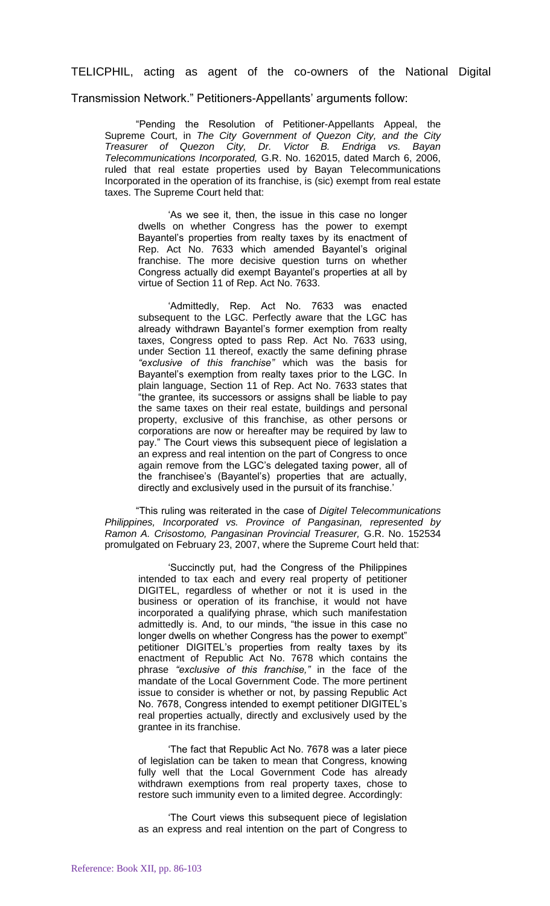TELICPHIL, acting as agent of the co-owners of the National Digital

Transmission Network." Petitioners-Appellants' arguments follow:

"Pending the Resolution of Petitioner-Appellants Appeal, the Supreme Court, in *The City Government of Quezon City, and the City Treasurer of Quezon City, Dr. Victor B. Endriga vs. Bayan Telecommunications Incorporated,* G.R. No. 162015, dated March 6, 2006, ruled that real estate properties used by Bayan Telecommunications Incorporated in the operation of its franchise, is (sic) exempt from real estate taxes. The Supreme Court held that:

'As we see it, then, the issue in this case no longer dwells on whether Congress has the power to exempt Bayantel's properties from realty taxes by its enactment of Rep. Act No. 7633 which amended Bayantel's original franchise. The more decisive question turns on whether Congress actually did exempt Bayantel's properties at all by virtue of Section 11 of Rep. Act No. 7633.

'Admittedly, Rep. Act No. 7633 was enacted subsequent to the LGC. Perfectly aware that the LGC has already withdrawn Bayantel's former exemption from realty taxes, Congress opted to pass Rep. Act No. 7633 using, under Section 11 thereof, exactly the same defining phrase *"exclusive of this franchise"* which was the basis for Bayantel's exemption from realty taxes prior to the LGC. In plain language, Section 11 of Rep. Act No. 7633 states that "the grantee, its successors or assigns shall be liable to pay the same taxes on their real estate, buildings and personal property, exclusive of this franchise, as other persons or corporations are now or hereafter may be required by law to pay." The Court views this subsequent piece of legislation a an express and real intention on the part of Congress to once again remove from the LGC's delegated taxing power, all of the franchisee's (Bayantel's) properties that are actually, directly and exclusively used in the pursuit of its franchise.'

"This ruling was reiterated in the case of *Digitel Telecommunications Philippines, Incorporated vs. Province of Pangasinan, represented by Ramon A. Crisostomo, Pangasinan Provincial Treasurer,* G.R. No. 152534 promulgated on February 23, 2007, where the Supreme Court held that:

'Succinctly put, had the Congress of the Philippines intended to tax each and every real property of petitioner DIGITEL, regardless of whether or not it is used in the business or operation of its franchise, it would not have incorporated a qualifying phrase, which such manifestation admittedly is. And, to our minds, "the issue in this case no longer dwells on whether Congress has the power to exempt" petitioner DIGITEL's properties from realty taxes by its enactment of Republic Act No. 7678 which contains the phrase *"exclusive of this franchise,"* in the face of the mandate of the Local Government Code. The more pertinent issue to consider is whether or not, by passing Republic Act No. 7678, Congress intended to exempt petitioner DIGITEL's real properties actually, directly and exclusively used by the grantee in its franchise.

'The fact that Republic Act No. 7678 was a later piece of legislation can be taken to mean that Congress, knowing fully well that the Local Government Code has already withdrawn exemptions from real property taxes, chose to restore such immunity even to a limited degree. Accordingly:

'The Court views this subsequent piece of legislation as an express and real intention on the part of Congress to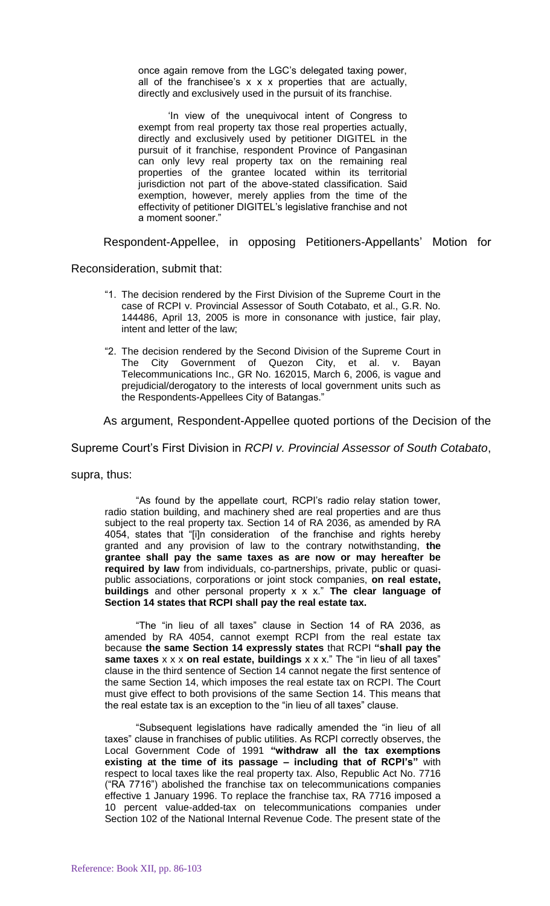once again remove from the LGC's delegated taxing power, all of the franchisee's  $x \times x$  properties that are actually, directly and exclusively used in the pursuit of its franchise.

'In view of the unequivocal intent of Congress to exempt from real property tax those real properties actually, directly and exclusively used by petitioner DIGITEL in the pursuit of it franchise, respondent Province of Pangasinan can only levy real property tax on the remaining real properties of the grantee located within its territorial jurisdiction not part of the above-stated classification. Said exemption, however, merely applies from the time of the effectivity of petitioner DIGITEL's legislative franchise and not a moment sooner."

Respondent-Appellee, in opposing Petitioners-Appellants' Motion for

Reconsideration, submit that:

- "1. The decision rendered by the First Division of the Supreme Court in the case of RCPI v. Provincial Assessor of South Cotabato, et al., G.R. No. 144486, April 13, 2005 is more in consonance with justice, fair play, intent and letter of the law;
- "2. The decision rendered by the Second Division of the Supreme Court in The City Government of Quezon City, et al. v. Bayan Telecommunications Inc., GR No. 162015, March 6, 2006, is vague and prejudicial/derogatory to the interests of local government units such as the Respondents-Appellees City of Batangas."

As argument, Respondent-Appellee quoted portions of the Decision of the

Supreme Court's First Division in *RCPI v. Provincial Assessor of South Cotabato*,

supra, thus:

"As found by the appellate court, RCPI's radio relay station tower, radio station building, and machinery shed are real properties and are thus subject to the real property tax. Section 14 of RA 2036, as amended by RA 4054, states that "[i]n consideration of the franchise and rights hereby granted and any provision of law to the contrary notwithstanding, **the grantee shall pay the same taxes as are now or may hereafter be required by law** from individuals, co-partnerships, private, public or quasipublic associations, corporations or joint stock companies, **on real estate, buildings** and other personal property x x x." **The clear language of Section 14 states that RCPI shall pay the real estate tax.**

"The "in lieu of all taxes" clause in Section 14 of RA 2036, as amended by RA 4054, cannot exempt RCPI from the real estate tax because **the same Section 14 expressly states** that RCPI **"shall pay the same taxes** x x x **on real estate, buildings** x x x." The "in lieu of all taxes" clause in the third sentence of Section 14 cannot negate the first sentence of the same Section 14, which imposes the real estate tax on RCPI. The Court must give effect to both provisions of the same Section 14. This means that the real estate tax is an exception to the "in lieu of all taxes" clause.

"Subsequent legislations have radically amended the "in lieu of all taxes" clause in franchises of public utilities. As RCPI correctly observes, the Local Government Code of 1991 **"withdraw all the tax exemptions existing at the time of its passage – including that of RCPI's"** with respect to local taxes like the real property tax. Also, Republic Act No. 7716 ("RA 7716") abolished the franchise tax on telecommunications companies effective 1 January 1996. To replace the franchise tax, RA 7716 imposed a 10 percent value-added-tax on telecommunications companies under Section 102 of the National Internal Revenue Code. The present state of the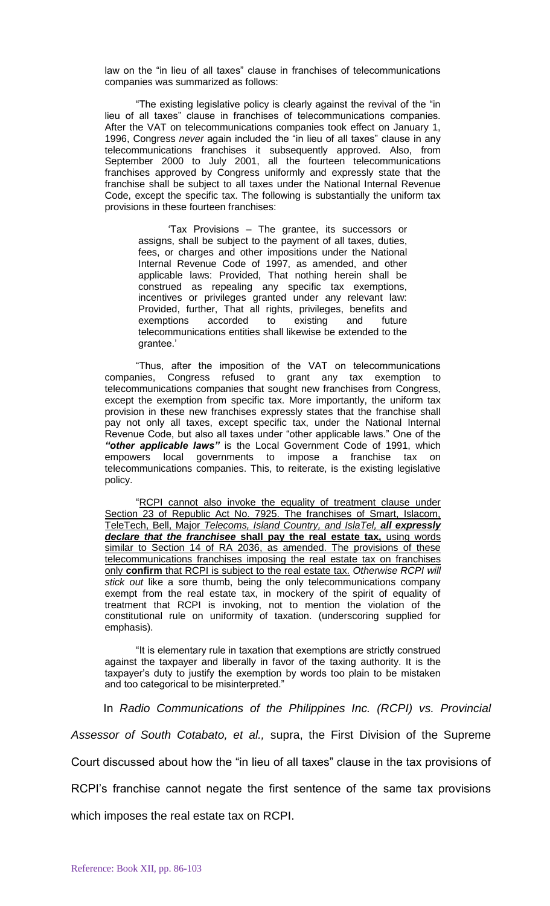law on the "in lieu of all taxes" clause in franchises of telecommunications companies was summarized as follows:

"The existing legislative policy is clearly against the revival of the "in lieu of all taxes" clause in franchises of telecommunications companies. After the VAT on telecommunications companies took effect on January 1, 1996, Congress *never* again included the "in lieu of all taxes" clause in any telecommunications franchises it subsequently approved. Also, from September 2000 to July 2001, all the fourteen telecommunications franchises approved by Congress uniformly and expressly state that the franchise shall be subject to all taxes under the National Internal Revenue Code, except the specific tax. The following is substantially the uniform tax provisions in these fourteen franchises:

'Tax Provisions – The grantee, its successors or assigns, shall be subject to the payment of all taxes, duties, fees, or charges and other impositions under the National Internal Revenue Code of 1997, as amended, and other applicable laws: Provided, That nothing herein shall be construed as repealing any specific tax exemptions, incentives or privileges granted under any relevant law: Provided, further, That all rights, privileges, benefits and exemptions accorded to existing and future telecommunications entities shall likewise be extended to the grantee.'

"Thus, after the imposition of the VAT on telecommunications companies, Congress refused to grant any tax exemption telecommunications companies that sought new franchises from Congress, except the exemption from specific tax. More importantly, the uniform tax provision in these new franchises expressly states that the franchise shall pay not only all taxes, except specific tax, under the National Internal Revenue Code, but also all taxes under "other applicable laws." One of the *"other applicable laws"* is the Local Government Code of 1991, which empowers local governments to impose a franchise tax on telecommunications companies. This, to reiterate, is the existing legislative policy.

"RCPI cannot also invoke the equality of treatment clause under Section 23 of Republic Act No. 7925. The franchises of Smart, Islacom, TeleTech, Bell, Major *Telecoms, Island Country, and IslaTel, all expressly declare that the franchisee* **shall pay the real estate tax,** using words similar to Section 14 of RA 2036, as amended. The provisions of these telecommunications franchises imposing the real estate tax on franchises only **confirm** that RCPI is subject to the real estate tax. *Otherwise RCPI will stick out* like a sore thumb, being the only telecommunications company exempt from the real estate tax, in mockery of the spirit of equality of treatment that RCPI is invoking, not to mention the violation of the constitutional rule on uniformity of taxation. (underscoring supplied for emphasis).

"It is elementary rule in taxation that exemptions are strictly construed against the taxpayer and liberally in favor of the taxing authority. It is the taxpayer's duty to justify the exemption by words too plain to be mistaken and too categorical to be misinterpreted."

In *Radio Communications of the Philippines Inc. (RCPI) vs. Provincial Assessor of South Cotabato, et al.,* supra, the First Division of the Supreme Court discussed about how the "in lieu of all taxes" clause in the tax provisions of RCPI's franchise cannot negate the first sentence of the same tax provisions which imposes the real estate tax on RCPI.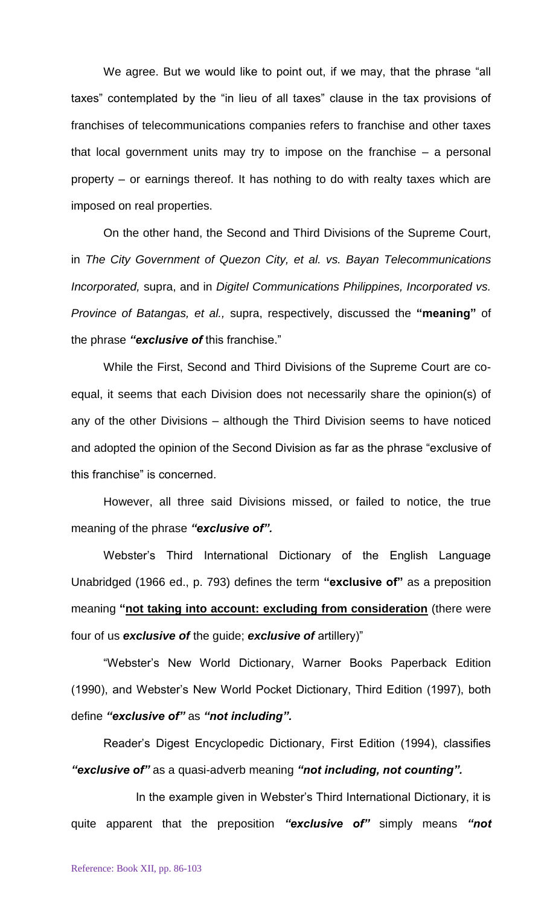We agree. But we would like to point out, if we may, that the phrase "all taxes" contemplated by the "in lieu of all taxes" clause in the tax provisions of franchises of telecommunications companies refers to franchise and other taxes that local government units may try to impose on the franchise – a personal property – or earnings thereof. It has nothing to do with realty taxes which are imposed on real properties.

On the other hand, the Second and Third Divisions of the Supreme Court, in *The City Government of Quezon City, et al. vs. Bayan Telecommunications Incorporated,* supra, and in *Digitel Communications Philippines, Incorporated vs. Province of Batangas, et al.,* supra, respectively, discussed the **"meaning"** of the phrase *"exclusive of* this franchise."

While the First, Second and Third Divisions of the Supreme Court are coequal, it seems that each Division does not necessarily share the opinion(s) of any of the other Divisions – although the Third Division seems to have noticed and adopted the opinion of the Second Division as far as the phrase "exclusive of this franchise" is concerned.

However, all three said Divisions missed, or failed to notice, the true meaning of the phrase *"exclusive of".*

Webster's Third International Dictionary of the English Language Unabridged (1966 ed., p. 793) defines the term **"exclusive of"** as a preposition meaning **"not taking into account: excluding from consideration** (there were four of us *exclusive of* the guide; *exclusive of* artillery)"

"Webster's New World Dictionary, Warner Books Paperback Edition (1990), and Webster's New World Pocket Dictionary, Third Edition (1997), both define *"exclusive of"* as *"not including".*

Reader's Digest Encyclopedic Dictionary, First Edition (1994), classifies *"exclusive of"* as a quasi-adverb meaning *"not including, not counting".*

In the example given in Webster's Third International Dictionary, it is quite apparent that the preposition *"exclusive of"* simply means *"not*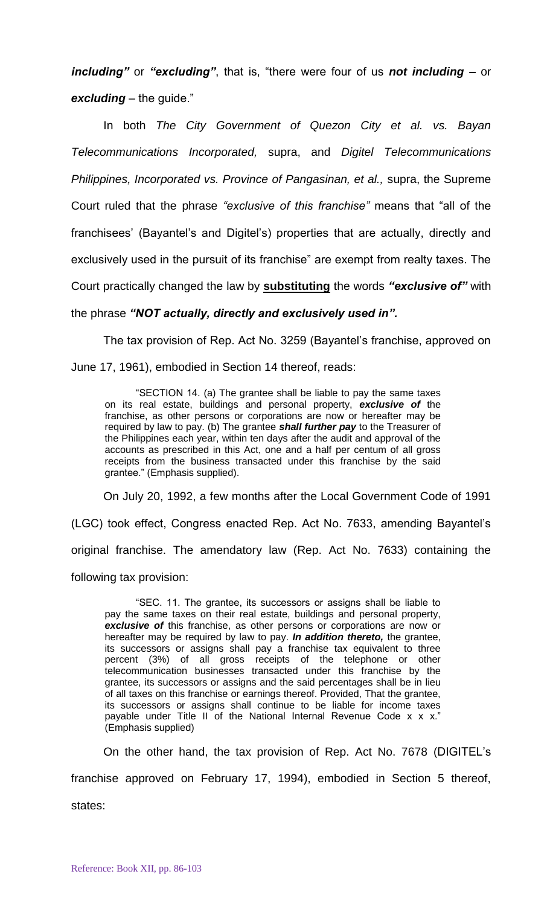*including"* or *"excluding"*, that is, "there were four of us *not including –* or *excluding* – the guide."

In both *The City Government of Quezon City et al. vs. Bayan Telecommunications Incorporated,* supra, and *Digitel Telecommunications Philippines, Incorporated vs. Province of Pangasinan, et al., supra, the Supreme* Court ruled that the phrase *"exclusive of this franchise"* means that "all of the franchisees' (Bayantel's and Digitel's) properties that are actually, directly and exclusively used in the pursuit of its franchise" are exempt from realty taxes. The Court practically changed the law by **substituting** the words *"exclusive of"* with the phrase *"NOT actually, directly and exclusively used in".*

The tax provision of Rep. Act No. 3259 (Bayantel's franchise, approved on June 17, 1961), embodied in Section 14 thereof, reads:

"SECTION 14. (a) The grantee shall be liable to pay the same taxes on its real estate, buildings and personal property, *exclusive of* the franchise, as other persons or corporations are now or hereafter may be required by law to pay. (b) The grantee *shall further pay* to the Treasurer of the Philippines each year, within ten days after the audit and approval of the accounts as prescribed in this Act, one and a half per centum of all gross receipts from the business transacted under this franchise by the said grantee." (Emphasis supplied).

On July 20, 1992, a few months after the Local Government Code of 1991

(LGC) took effect, Congress enacted Rep. Act No. 7633, amending Bayantel's original franchise. The amendatory law (Rep. Act No. 7633) containing the following tax provision:

"SEC. 11. The grantee, its successors or assigns shall be liable to pay the same taxes on their real estate, buildings and personal property, **exclusive of** this franchise, as other persons or corporations are now or hereafter may be required by law to pay. *In addition thereto,* the grantee, its successors or assigns shall pay a franchise tax equivalent to three percent (3%) of all gross receipts of the telephone or other telecommunication businesses transacted under this franchise by the grantee, its successors or assigns and the said percentages shall be in lieu of all taxes on this franchise or earnings thereof. Provided, That the grantee, its successors or assigns shall continue to be liable for income taxes payable under Title II of the National Internal Revenue Code x x x." (Emphasis supplied)

On the other hand, the tax provision of Rep. Act No. 7678 (DIGITEL's franchise approved on February 17, 1994), embodied in Section 5 thereof,

states: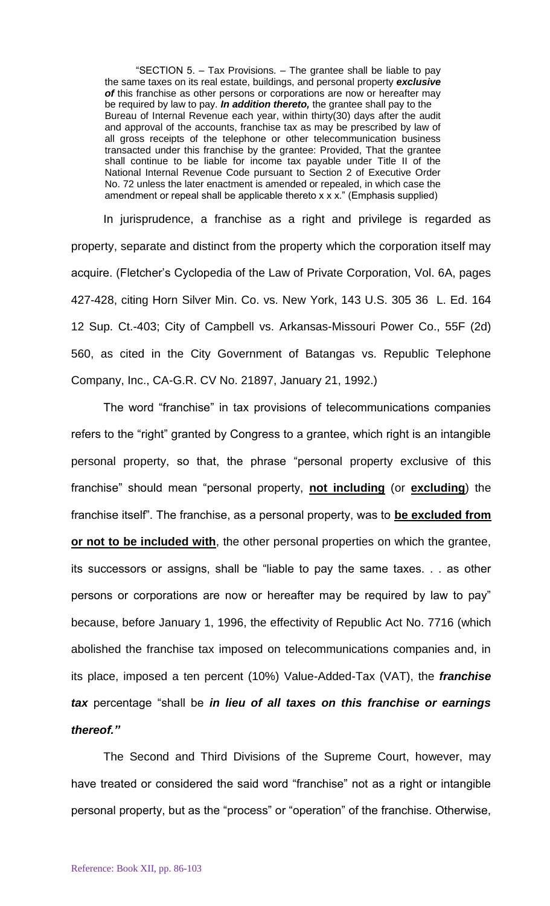"SECTION 5. – Tax Provisions. – The grantee shall be liable to pay the same taxes on its real estate, buildings, and personal property *exclusive of* this franchise as other persons or corporations are now or hereafter may be required by law to pay. *In addition thereto,* the grantee shall pay to the Bureau of Internal Revenue each year, within thirty(30) days after the audit and approval of the accounts, franchise tax as may be prescribed by law of all gross receipts of the telephone or other telecommunication business transacted under this franchise by the grantee: Provided, That the grantee shall continue to be liable for income tax payable under Title II of the National Internal Revenue Code pursuant to Section 2 of Executive Order No. 72 unless the later enactment is amended or repealed, in which case the amendment or repeal shall be applicable thereto x x x." (Emphasis supplied)

In jurisprudence, a franchise as a right and privilege is regarded as property, separate and distinct from the property which the corporation itself may acquire. (Fletcher's Cyclopedia of the Law of Private Corporation, Vol. 6A, pages 427-428, citing Horn Silver Min. Co. vs. New York, 143 U.S. 305 36 L. Ed. 164 12 Sup. Ct.-403; City of Campbell vs. Arkansas-Missouri Power Co., 55F (2d) 560, as cited in the City Government of Batangas vs. Republic Telephone Company, Inc., CA-G.R. CV No. 21897, January 21, 1992.)

The word "franchise" in tax provisions of telecommunications companies refers to the "right" granted by Congress to a grantee, which right is an intangible personal property, so that, the phrase "personal property exclusive of this franchise" should mean "personal property, **not including** (or **excluding**) the franchise itself". The franchise, as a personal property, was to **be excluded from or not to be included with**, the other personal properties on which the grantee, its successors or assigns, shall be "liable to pay the same taxes. . . as other persons or corporations are now or hereafter may be required by law to pay" because, before January 1, 1996, the effectivity of Republic Act No. 7716 (which abolished the franchise tax imposed on telecommunications companies and, in its place, imposed a ten percent (10%) Value-Added-Tax (VAT), the *franchise tax* percentage "shall be *in lieu of all taxes on this franchise or earnings thereof."*

The Second and Third Divisions of the Supreme Court, however, may have treated or considered the said word "franchise" not as a right or intangible personal property, but as the "process" or "operation" of the franchise. Otherwise,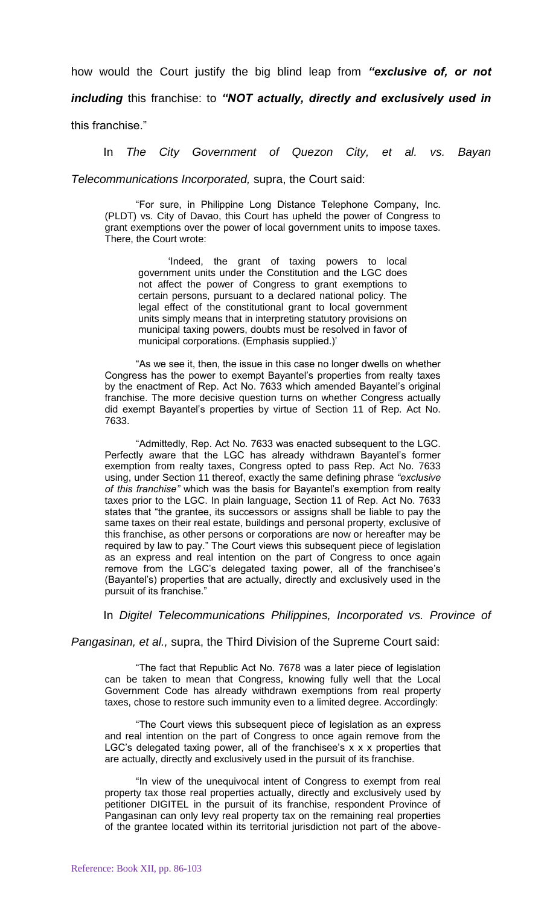how would the Court justify the big blind leap from *"exclusive of, or not* 

*including* this franchise: to *"NOT actually, directly and exclusively used in* 

this franchise."

In *The City Government of Quezon City, et al. vs. Bayan* 

*Telecommunications Incorporated,* supra, the Court said:

"For sure, in Philippine Long Distance Telephone Company, Inc. (PLDT) vs. City of Davao, this Court has upheld the power of Congress to grant exemptions over the power of local government units to impose taxes. There, the Court wrote:

'Indeed, the grant of taxing powers to local government units under the Constitution and the LGC does not affect the power of Congress to grant exemptions to certain persons, pursuant to a declared national policy. The legal effect of the constitutional grant to local government units simply means that in interpreting statutory provisions on municipal taxing powers, doubts must be resolved in favor of municipal corporations. (Emphasis supplied.)'

"As we see it, then, the issue in this case no longer dwells on whether Congress has the power to exempt Bayantel's properties from realty taxes by the enactment of Rep. Act No. 7633 which amended Bayantel's original franchise. The more decisive question turns on whether Congress actually did exempt Bayantel's properties by virtue of Section 11 of Rep. Act No. 7633.

"Admittedly, Rep. Act No. 7633 was enacted subsequent to the LGC. Perfectly aware that the LGC has already withdrawn Bayantel's former exemption from realty taxes, Congress opted to pass Rep. Act No. 7633 using, under Section 11 thereof, exactly the same defining phrase *"exclusive of this franchise"* which was the basis for Bayantel's exemption from realty taxes prior to the LGC. In plain language, Section 11 of Rep. Act No. 7633 states that "the grantee, its successors or assigns shall be liable to pay the same taxes on their real estate, buildings and personal property, exclusive of this franchise, as other persons or corporations are now or hereafter may be required by law to pay." The Court views this subsequent piece of legislation as an express and real intention on the part of Congress to once again remove from the LGC's delegated taxing power, all of the franchisee's (Bayantel's) properties that are actually, directly and exclusively used in the pursuit of its franchise."

In *Digitel Telecommunications Philippines, Incorporated vs. Province of* 

*Pangasinan, et al.,* supra, the Third Division of the Supreme Court said:

"The fact that Republic Act No. 7678 was a later piece of legislation can be taken to mean that Congress, knowing fully well that the Local Government Code has already withdrawn exemptions from real property taxes, chose to restore such immunity even to a limited degree. Accordingly:

"The Court views this subsequent piece of legislation as an express and real intention on the part of Congress to once again remove from the LGC's delegated taxing power, all of the franchisee's  $x \times x$  properties that are actually, directly and exclusively used in the pursuit of its franchise.

"In view of the unequivocal intent of Congress to exempt from real property tax those real properties actually, directly and exclusively used by petitioner DIGITEL in the pursuit of its franchise, respondent Province of Pangasinan can only levy real property tax on the remaining real properties of the grantee located within its territorial jurisdiction not part of the above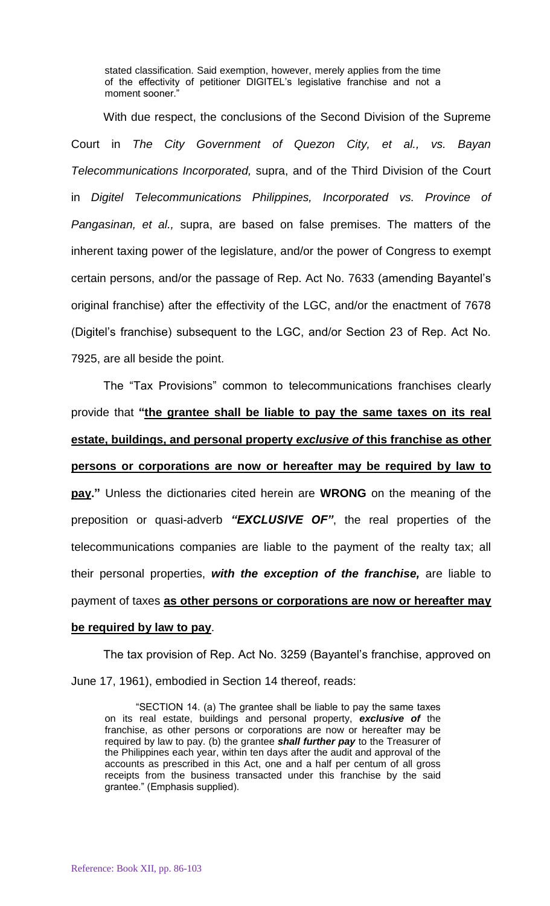stated classification. Said exemption, however, merely applies from the time of the effectivity of petitioner DIGITEL's legislative franchise and not a moment sooner.'

With due respect, the conclusions of the Second Division of the Supreme Court in *The City Government of Quezon City, et al., vs. Bayan Telecommunications Incorporated,* supra, and of the Third Division of the Court in *Digitel Telecommunications Philippines, Incorporated vs. Province of Pangasinan, et al.,* supra, are based on false premises. The matters of the inherent taxing power of the legislature, and/or the power of Congress to exempt certain persons, and/or the passage of Rep. Act No. 7633 (amending Bayantel's original franchise) after the effectivity of the LGC, and/or the enactment of 7678 (Digitel's franchise) subsequent to the LGC, and/or Section 23 of Rep. Act No. 7925, are all beside the point.

The "Tax Provisions" common to telecommunications franchises clearly provide that **"the grantee shall be liable to pay the same taxes on its real estate, buildings, and personal property** *exclusive of* **this franchise as other persons or corporations are now or hereafter may be required by law to pay."** Unless the dictionaries cited herein are **WRONG** on the meaning of the preposition or quasi-adverb *"EXCLUSIVE OF"*, the real properties of the telecommunications companies are liable to the payment of the realty tax; all their personal properties, *with the exception of the franchise,* are liable to payment of taxes **as other persons or corporations are now or hereafter may** 

## **be required by law to pay**.

The tax provision of Rep. Act No. 3259 (Bayantel's franchise, approved on June 17, 1961), embodied in Section 14 thereof, reads:

"SECTION 14. (a) The grantee shall be liable to pay the same taxes on its real estate, buildings and personal property, *exclusive of* the franchise, as other persons or corporations are now or hereafter may be required by law to pay. (b) the grantee *shall further pay* to the Treasurer of the Philippines each year, within ten days after the audit and approval of the accounts as prescribed in this Act, one and a half per centum of all gross receipts from the business transacted under this franchise by the said grantee." (Emphasis supplied).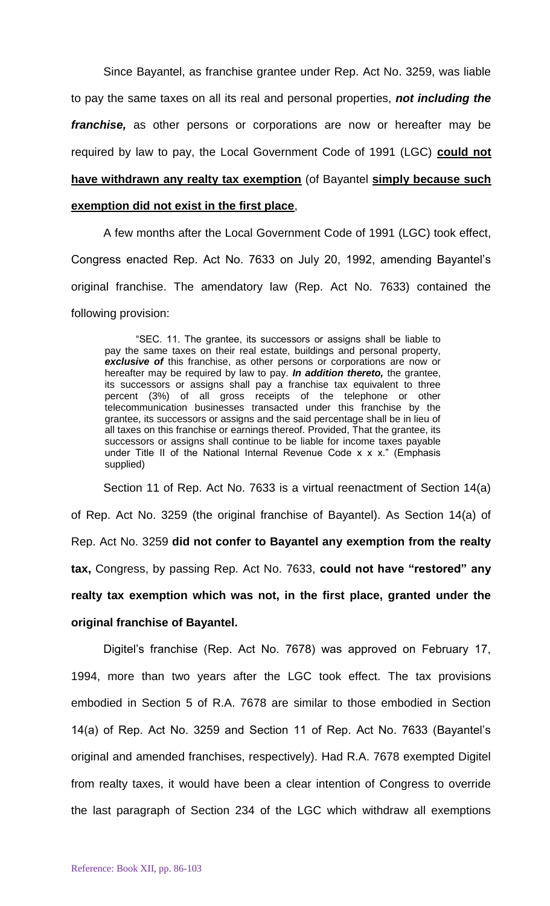Since Bayantel, as franchise grantee under Rep. Act No. 3259, was liable to pay the same taxes on all its real and personal properties, *not including the franchise,* as other persons or corporations are now or hereafter may be required by law to pay, the Local Government Code of 1991 (LGC) **could not have withdrawn any realty tax exemption** (of Bayantel **simply because such exemption did not exist in the first place**,

A few months after the Local Government Code of 1991 (LGC) took effect, Congress enacted Rep. Act No. 7633 on July 20, 1992, amending Bayantel's original franchise. The amendatory law (Rep. Act No. 7633) contained the following provision:

"SEC. 11. The grantee, its successors or assigns shall be liable to pay the same taxes on their real estate, buildings and personal property, exclusive of this franchise, as other persons or corporations are now or hereafter may be required by law to pay. *In addition thereto,* the grantee, its successors or assigns shall pay a franchise tax equivalent to three percent (3%) of all gross receipts of the telephone or other telecommunication businesses transacted under this franchise by the grantee, its successors or assigns and the said percentage shall be in lieu of all taxes on this franchise or earnings thereof. Provided, That the grantee, its successors or assigns shall continue to be liable for income taxes payable under Title II of the National Internal Revenue Code x x x." (Emphasis supplied)

Section 11 of Rep. Act No. 7633 is a virtual reenactment of Section 14(a) of Rep. Act No. 3259 (the original franchise of Bayantel). As Section 14(a) of Rep. Act No. 3259 **did not confer to Bayantel any exemption from the realty tax,** Congress, by passing Rep. Act No. 7633, **could not have "restored" any realty tax exemption which was not, in the first place, granted under the original franchise of Bayantel.**

Digitel's franchise (Rep. Act No. 7678) was approved on February 17, 1994, more than two years after the LGC took effect. The tax provisions embodied in Section 5 of R.A. 7678 are similar to those embodied in Section 14(a) of Rep. Act No. 3259 and Section 11 of Rep. Act No. 7633 (Bayantel's original and amended franchises, respectively). Had R.A. 7678 exempted Digitel from realty taxes, it would have been a clear intention of Congress to override the last paragraph of Section 234 of the LGC which withdraw all exemptions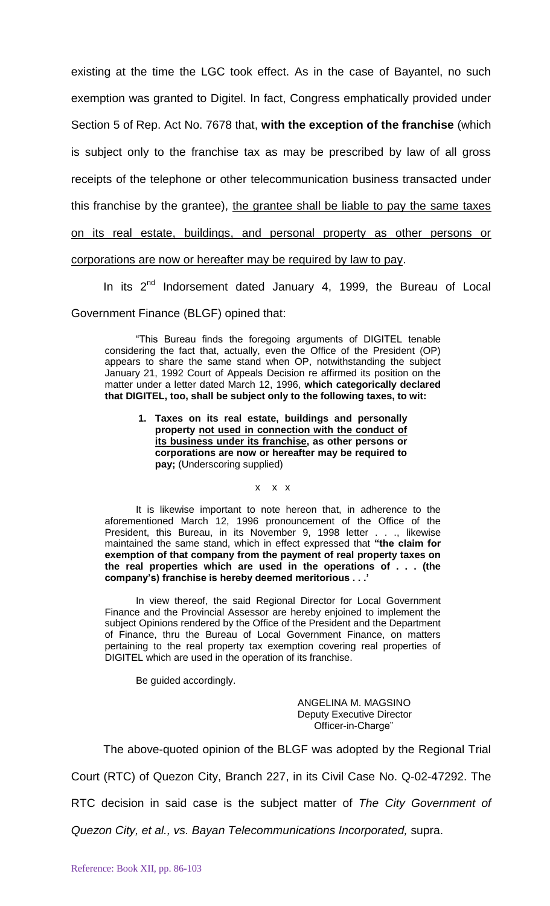existing at the time the LGC took effect. As in the case of Bayantel, no such exemption was granted to Digitel. In fact, Congress emphatically provided under Section 5 of Rep. Act No. 7678 that, **with the exception of the franchise** (which is subject only to the franchise tax as may be prescribed by law of all gross receipts of the telephone or other telecommunication business transacted under this franchise by the grantee), the grantee shall be liable to pay the same taxes on its real estate, buildings, and personal property as other persons or corporations are now or hereafter may be required by law to pay.

In its  $2^{nd}$  Indorsement dated January 4, 1999, the Bureau of Local Government Finance (BLGF) opined that:

"This Bureau finds the foregoing arguments of DIGITEL tenable considering the fact that, actually, even the Office of the President (OP) appears to share the same stand when OP, notwithstanding the subject January 21, 1992 Court of Appeals Decision re affirmed its position on the matter under a letter dated March 12, 1996, **which categorically declared that DIGITEL, too, shall be subject only to the following taxes, to wit:**

**1. Taxes on its real estate, buildings and personally property not used in connection with the conduct of its business under its franchise, as other persons or corporations are now or hereafter may be required to pay;** (Underscoring supplied)

x x x

It is likewise important to note hereon that, in adherence to the aforementioned March 12, 1996 pronouncement of the Office of the President, this Bureau, in its November 9, 1998 letter . . ., likewise maintained the same stand, which in effect expressed that **"the claim for exemption of that company from the payment of real property taxes on the real properties which are used in the operations of . . . (the company's) franchise is hereby deemed meritorious . . .'**

In view thereof, the said Regional Director for Local Government Finance and the Provincial Assessor are hereby enjoined to implement the subject Opinions rendered by the Office of the President and the Department of Finance, thru the Bureau of Local Government Finance, on matters pertaining to the real property tax exemption covering real properties of DIGITEL which are used in the operation of its franchise.

Be guided accordingly.

ANGELINA M. MAGSINO Deputy Executive Director Officer-in-Charge"

The above-quoted opinion of the BLGF was adopted by the Regional Trial

Court (RTC) of Quezon City, Branch 227, in its Civil Case No. Q-02-47292. The

RTC decision in said case is the subject matter of *The City Government of* 

*Quezon City, et al., vs. Bayan Telecommunications Incorporated,* supra.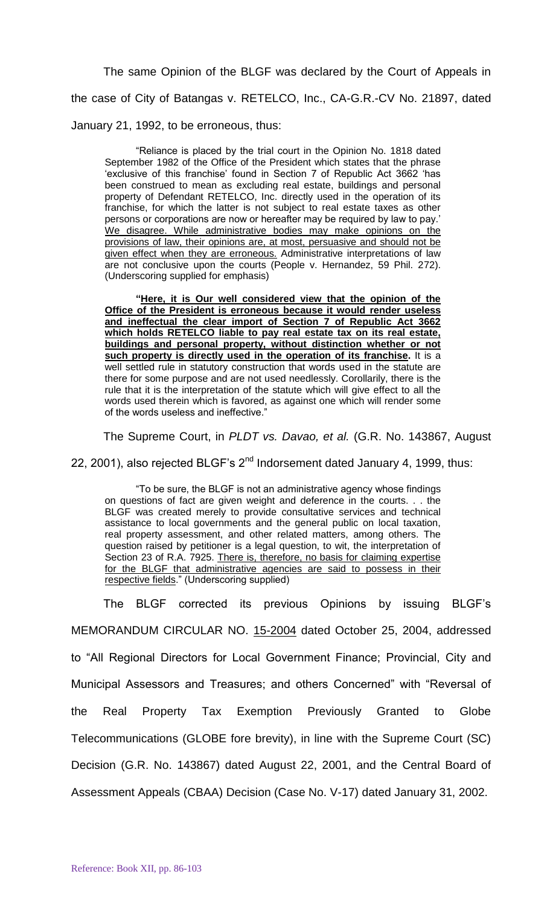The same Opinion of the BLGF was declared by the Court of Appeals in the case of City of Batangas v. RETELCO, Inc., CA-G.R.-CV No. 21897, dated January 21, 1992, to be erroneous, thus:

"Reliance is placed by the trial court in the Opinion No. 1818 dated September 1982 of the Office of the President which states that the phrase 'exclusive of this franchise' found in Section 7 of Republic Act 3662 'has been construed to mean as excluding real estate, buildings and personal property of Defendant RETELCO, Inc. directly used in the operation of its franchise, for which the latter is not subject to real estate taxes as other persons or corporations are now or hereafter may be required by law to pay.' We disagree. While administrative bodies may make opinions on the provisions of law, their opinions are, at most, persuasive and should not be given effect when they are erroneous. Administrative interpretations of law are not conclusive upon the courts (People v. Hernandez, 59 Phil. 272). (Underscoring supplied for emphasis)

**"Here, it is Our well considered view that the opinion of the Office of the President is erroneous because it would render useless and ineffectual the clear import of Section 7 of Republic Act 3662 which holds RETELCO liable to pay real estate tax on its real estate, buildings and personal property, without distinction whether or not such property is directly used in the operation of its franchise.** It is a well settled rule in statutory construction that words used in the statute are there for some purpose and are not used needlessly. Corollarily, there is the rule that it is the interpretation of the statute which will give effect to all the words used therein which is favored, as against one which will render some of the words useless and ineffective."

The Supreme Court, in *PLDT vs. Davao, et al.* (G.R. No. 143867, August

22, 2001), also rejected BLGF's  $2^{nd}$  Indorsement dated January 4, 1999, thus:

"To be sure, the BLGF is not an administrative agency whose findings on questions of fact are given weight and deference in the courts. . . the BLGF was created merely to provide consultative services and technical assistance to local governments and the general public on local taxation, real property assessment, and other related matters, among others. The question raised by petitioner is a legal question, to wit, the interpretation of Section 23 of R.A. 7925. There is, therefore, no basis for claiming expertise for the BLGF that administrative agencies are said to possess in their respective fields." (Underscoring supplied)

The BLGF corrected its previous Opinions by issuing BLGF's MEMORANDUM CIRCULAR NO. 15-2004 dated October 25, 2004, addressed to "All Regional Directors for Local Government Finance; Provincial, City and Municipal Assessors and Treasures; and others Concerned" with "Reversal of the Real Property Tax Exemption Previously Granted to Globe Telecommunications (GLOBE fore brevity), in line with the Supreme Court (SC) Decision (G.R. No. 143867) dated August 22, 2001, and the Central Board of Assessment Appeals (CBAA) Decision (Case No. V-17) dated January 31, 2002.